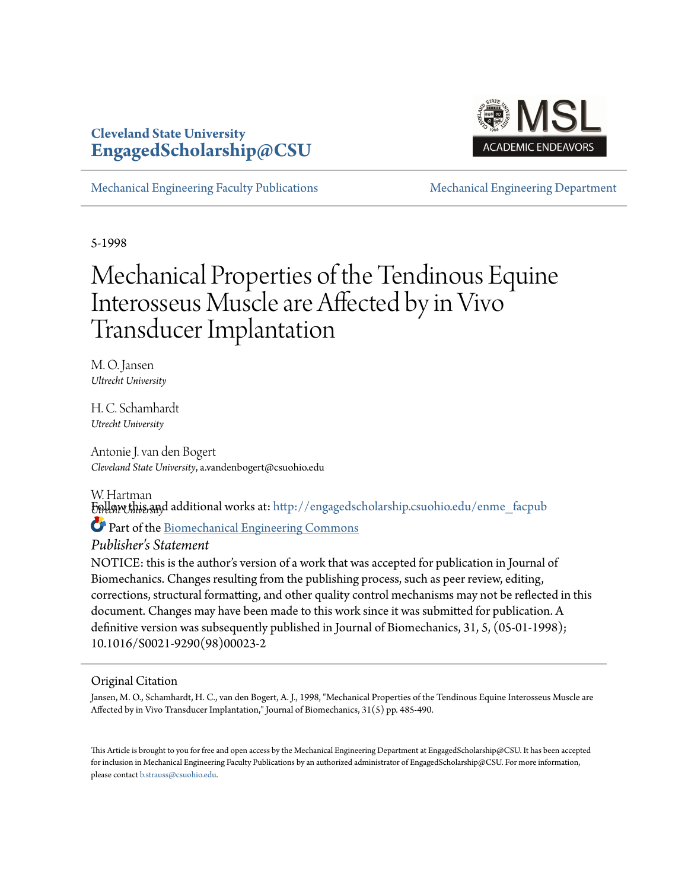# **Cleveland State University [EngagedScholarship@CSU](http://engagedscholarship.csuohio.edu?utm_source=engagedscholarship.csuohio.edu%2Fenme_facpub%2F210&utm_medium=PDF&utm_campaign=PDFCoverPages)**



[Mechanical Engineering Faculty Publications](http://engagedscholarship.csuohio.edu/enme_facpub?utm_source=engagedscholarship.csuohio.edu%2Fenme_facpub%2F210&utm_medium=PDF&utm_campaign=PDFCoverPages) [Mechanical Engineering Department](http://engagedscholarship.csuohio.edu/enme?utm_source=engagedscholarship.csuohio.edu%2Fenme_facpub%2F210&utm_medium=PDF&utm_campaign=PDFCoverPages)

5-1998

# Mechanical Properties of the Tendinous Equine Interosseus Muscle are Affected by in Vivo Transducer Implantation

M. O. Jansen *Ultrecht University*

H. C. Schamhardt *Utrecht University*

Antonie J. van den Bogert *Cleveland State University*, a.vandenbogert@csuohio.edu

W. Hartman

*U*Fo*trecht University* llow this and additional works at: [http://engagedscholarship.csuohio.edu/enme\\_facpub](http://engagedscholarship.csuohio.edu/enme_facpub?utm_source=engagedscholarship.csuohio.edu%2Fenme_facpub%2F210&utm_medium=PDF&utm_campaign=PDFCoverPages)

Part of the [Biomechanical Engineering Commons](http://network.bepress.com/hgg/discipline/296?utm_source=engagedscholarship.csuohio.edu%2Fenme_facpub%2F210&utm_medium=PDF&utm_campaign=PDFCoverPages)

*Publisher's Statement*

NOTICE: this is the author's version of a work that was accepted for publication in Journal of Biomechanics. Changes resulting from the publishing process, such as peer review, editing, corrections, structural formatting, and other quality control mechanisms may not be reflected in this document. Changes may have been made to this work since it was submitted for publication. A definitive version was subsequently published in Journal of Biomechanics, 31, 5, (05-01-1998); 10.1016/S0021-9290(98)00023-2

# Original Citation

Jansen, M. O., Schamhardt, H. C., van den Bogert, A. J., 1998, "Mechanical Properties of the Tendinous Equine Interosseus Muscle are Affected by in Vivo Transducer Implantation," Journal of Biomechanics, 31(5) pp. 485-490.

This Article is brought to you for free and open access by the Mechanical Engineering Department at EngagedScholarship@CSU. It has been accepted for inclusion in Mechanical Engineering Faculty Publications by an authorized administrator of EngagedScholarship@CSU. For more information, please contact [b.strauss@csuohio.edu.](mailto:b.strauss@csuohio.edu)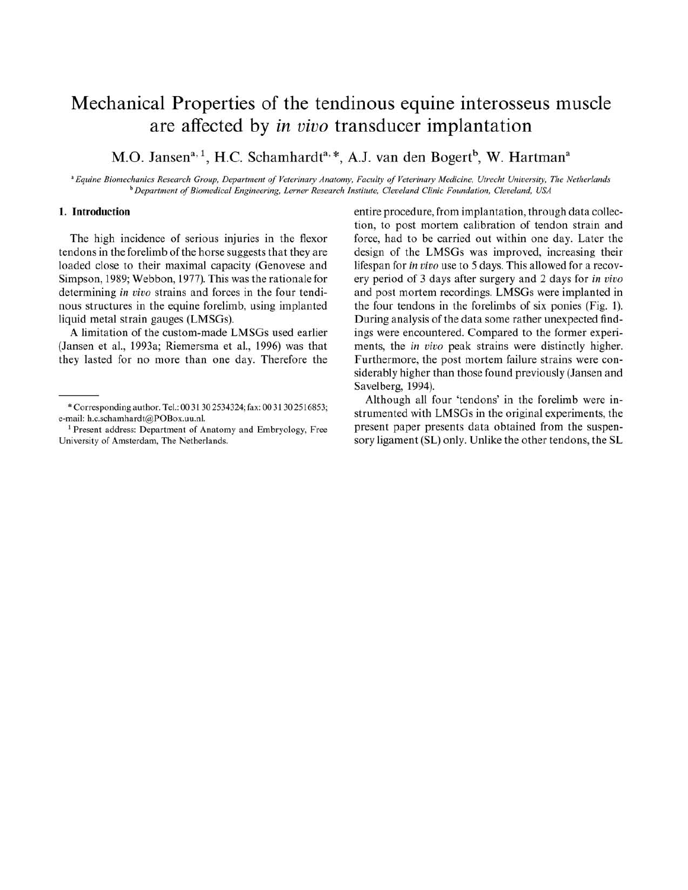# Mechanical Properties of the tendinous equine interosseus muscle are affected by *in vivo* transducer implantation

M.O. Jansen<sup>a, 1</sup>, H.C. Schamhardt<sup>a, \*</sup>, A.J. van den Bogert<sup>b</sup>, W. Hartman<sup>a</sup>

<sup>a</sup> Equine Biomechanics Research Group, Department of Veterinary Anatomy, Faculty of Veterinary Medicine, Utrecht University, The Netherlands <sup>b</sup> Department of Biomedical Engineering, Lerner Research Institute, Cleveland Clinic Foundation, Cleveland, USA

## **I. Introduction**

The high incidence of serious injuries in the flexor tendons in the forelimb of the horse suggests that they are loaded close to their maximal capacity (Genovese and Simpson, 1989; Webbon, 1977). This was the rationale for determining in vivo strains and forces in the four tendinous structures in the equine forelimb, using implanted liquid metal strain gauges (LMSGs).

A limitation of the custom-made LMSGs used earlier (Jansen et aI., 1993a; Riemersma et aI., 1996) was that they lasted for no more than one day. Therefore the entire procedure, from implantation, through data collection, to post mortem calibration of tendon strain and force, had to be carried out within one day. Later the design of the LMSGs was improved, increasing their lifespan for *in vivo* use to 5 days. This allowed for a recovery period of 3 days after surgery and 2 days for *in vivo* and post mortem recordings. LMSGs were implanted in the four tendons in the forelimbs of six ponies (Fig. 1). During analysis of the data some rather unexpected findings were encountered. Compared to the former experiments, the *in vivo* peak strains were distinctly higher. Furthermore, the post mortem failure strains were considerably higher than those found previously (Jansen and Savelberg, 1994).

Although all four 'tendons' in the forelimb were instrumented with LMSGs in the original experiments, the present paper presents data obtained from the suspensory ligament (SL) only. Unlike the other tendons, the SL

<sup>•</sup> Corresponding author. Tel.: 00 31 302534324; fax: 00 31 302516853; e-mail: h.c.schamhardt@POBox.uu.nl.

<sup>&</sup>lt;sup>1</sup> Present address: Department of Anatomy and Embryology, Free University of Amsterdam. The Netherlands.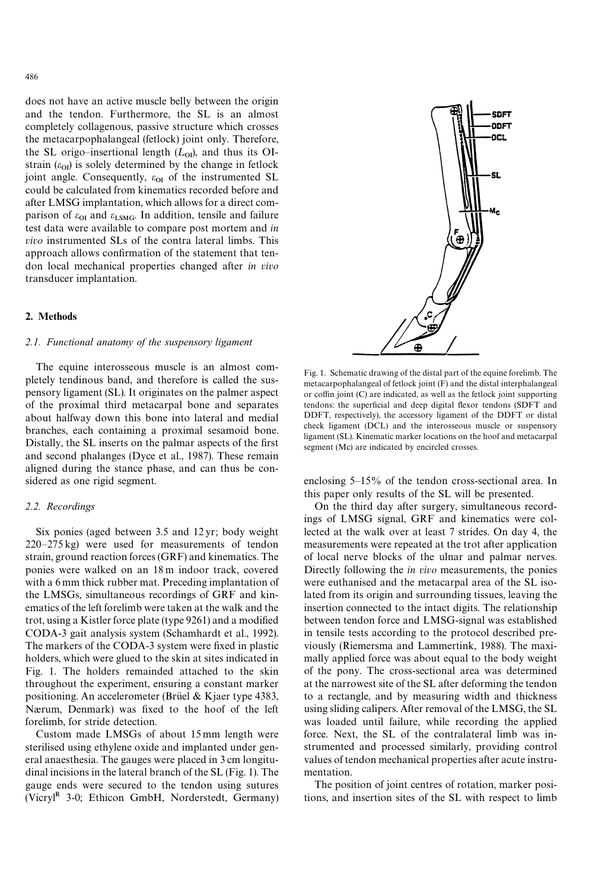does not have an active muscle belly between the origin and the tendon. Furthermore, the SL is an almost completely collagenous, passive structure which crosses the metacarpophalangeal (fetlock) joint only. Therefore, the SL origo-insertional length  $(L_{0I})$ , and thus its OIstrain  $(\varepsilon_{0I})$  is solely determined by the change in fetlock joint angle. Consequently,  $\varepsilon_{\text{OI}}$  of the instrumented SL could be calculated from kinematics recorded before and after LMSG implantation, which allows for a direct comparison of  $\varepsilon_{\text{OI}}$  and  $\varepsilon_{\text{LSMG}}$ . In addition, tensile and failure test data were available to compare post mortem and *in vivo* instrumented SLs of the contra lateral limbs. This approach allows confirmation of the statement that tendon local mechanical properties changed after *in vivo* transducer implantation.

### 2. Methods

#### *2.1. Functional anatomy of the suspensory ligament*

The equine interosseous muscle is an almost completely tendinous band, and therefore is called the suspensory ligament (SL). It originates on the palmer aspect of the proximal third metacarpal bone and separates about halfway down this bone into lateral and medial branches, each containing a proximal sesamoid bone. Distally, the SL inserts on the palmar aspects of the first and second phalanges (Dyce et al., 1987). These remain aligned during the stance phase, and can thus be considered as one rigid segment.

#### *2.2. Recordings*

Six ponies (aged between 3.5 and 12 yr; body weight 220*—*275 kg) were used for measurements of tendon strain, ground reaction forces (GRF) and kinematics. The ponies were walked on an 18 m indoor track, covered with a 6 mm thick rubber mat. Preceding implantation of the LMSGs, simultaneous recordings of GRF and kinematics of the left forelimb were taken at the walk and the trot, using a Kistler force plate (type 9261) and a modified CODA-3 gait analysis system (Schamhardt et al., 1992). The markers of the CODA-3 system were fixed in plastic holders, which were glued to the skin at sites indicated in Fig. 1. The holders remainded attached to the skin throughout the experiment, ensuring a constant marker positioning. An accelerometer (Brüel & Kjaer type 4383, Nærum, Denmark) was fixed to the hoof of the left forelimb, for stride detection.

Custom made LMSGs of about 15 mm length were sterilised using ethylene oxide and implanted under general anaesthesia. The gauges were placed in 3 cm longitudinal incisions in the lateral branch of the SL (Fig. 1). The gauge ends were secured to the tendon using sutures (Vicryl<sup>R</sup> 3-0; Ethicon GmbH, Norderstedt, Germany)



enclosing 5*—*15% of the tendon cross-sectional area. In this paper only results of the SL will be presented.

On the third day after surgery, simultaneous recordings of LMSG signal, GRF and kinematics were collected at the walk over at least 7 strides. On day 4, the measurements were repeated at the trot after application of local nerve blocks of the ulnar and palmar nerves. Directly following the *in vivo* measurements, the ponies were euthanised and the metacarpal area of the SL isolated from its origin and surrounding tissues, leaving the insertion connected to the intact digits. The relationship between tendon force and LMSG-signal was established in tensile tests according to the protocol described previously (Riemersma and Lammertink, 1988). The maximally applied force was about equal to the body weight of the pony. The cross-sectional area was determined at the narrowest site of the SL after deforming the tendon to a rectangle, and by measuring width and thickness using sliding calipers. After removal of the LMSG, the SL was loaded until failure, while recording the applied force. Next, the SL of the contralateral limb was instrumented and processed similarly, providing control values of tendon mechanical properties after acute instrumentation.

The position of joint centres of rotation, marker positions, and insertion sites of the SL with respect to limb

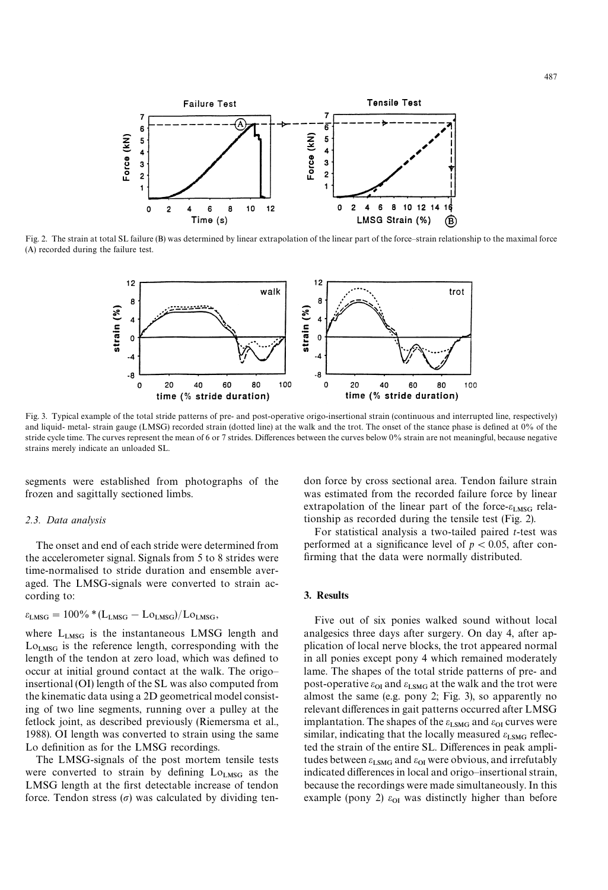

Fig. 2. The strain at total SL failure (B) was determined by linear extrapolation of the linear part of the force*—*strain relationship to the maximal force (A) recorded during the failure test.



Fig. 3. Typical example of the total stride patterns of pre- and post-operative origo-insertional strain (continuous and interrupted line, respectively) and liquid- metal- strain gauge (LMSG) recorded strain (dotted line) at the walk and the trot. The onset of the stance phase is defined at 0% of the stride cycle time. The curves represent the mean of 6 or 7 strides. Differences between the curves below 0% strain are not meaningful, because negative strains merely indicate an unloaded SL.

segments were established from photographs of the frozen and sagittally sectioned limbs.

#### *2.3. Data analysis*

The onset and end of each stride were determined from the accelerometer signal. Signals from 5 to 8 strides were time-normalised to stride duration and ensemble averaged. The LMSG-signals were converted to strain according to:

$$
\epsilon_{\rm LMSG}=100\%*(L_{\rm LMSG}-Lo_{\rm LMSG})/Lo_{\rm LMSG},
$$

where  $L_{LMSG}$  is the instantaneous LMSG length and  $L_{O_{LMSG}}$  is the reference length, corresponding with the length of the tendon at zero load, which was defined to occur at initial ground contact at the walk. The origo insertional (OI) length of the SL was also computed from the kinematic data using a 2D geometrical model consisting of two line segments, running over a pulley at the fetlock joint, as described previously (Riemersma et al., 1988). OI length was converted to strain using the same Lo definition as for the LMSG recordings.

The LMSG-signals of the post mortem tensile tests were converted to strain by defining  $Lo<sub>LMSG</sub>$  as the LMSG length at the first detectable increase of tendon force. Tendon stress  $(\sigma)$  was calculated by dividing tendon force by cross sectional area. Tendon failure strain was estimated from the recorded failure force by linear extrapolation of the linear part of the force- $\varepsilon_{LMSG}$  relationship as recorded during the tensile test (Fig. 2).

For statistical analysis a two-tailed paired *t*-test was performed at a significance level of  $p < 0.05$ , after confirming that the data were normally distributed.

## 3. Results

Five out of six ponies walked sound without local analgesics three days after surgery. On day 4, after application of local nerve blocks, the trot appeared normal in all ponies except pony 4 which remained moderately lame. The shapes of the total stride patterns of pre- and post-operative  $\varepsilon_{\text{OI}}$  and  $\varepsilon_{\text{LSMG}}$  at the walk and the trot were almost the same (e.g. pony 2; Fig. 3), so apparently no relevant differences in gait patterns occurred after LMSG implantation. The shapes of the  $\varepsilon_{\text{LSMG}}$  and  $\varepsilon_{\text{ol}}$  curves were similar, indicating that the locally measured  $\varepsilon_{\text{LSMG}}$  reflected the strain of the entire SL. Differences in peak amplitudes between  $\varepsilon_{LSMG}$  and  $\varepsilon_{OI}$  were obvious, and irrefutably indicated differences in local and origo–insertional strain, because the recordings were made simultaneously. In this example (pony 2)  $\varepsilon_{0I}$  was distinctly higher than before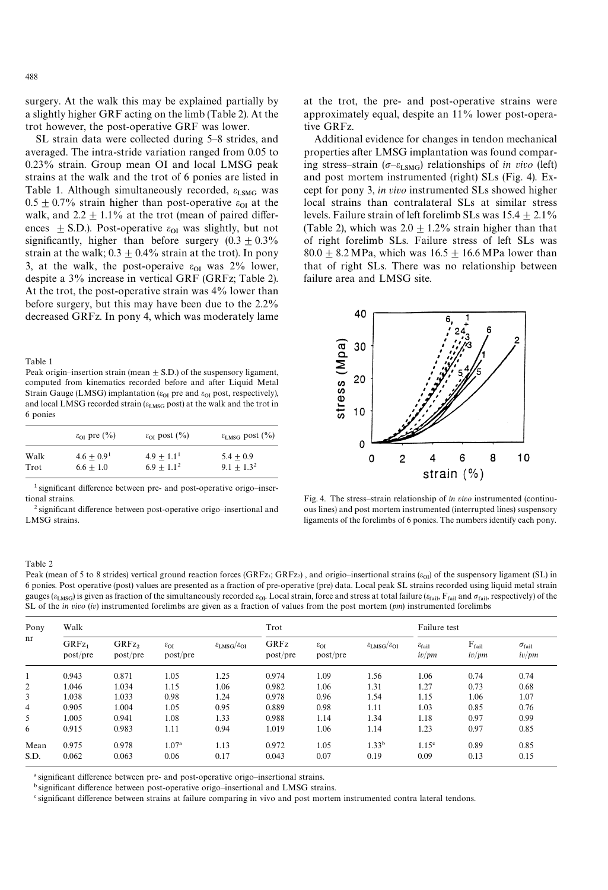surgery. At the walk this may be explained partially by a slightly higher GRF acting on the limb (Table 2). At the trot however, the post-operative GRF was lower.

SL strain data were collected during 5*—*8 strides, and averaged. The intra-stride variation ranged from 0.05 to 0.23% strain. Group mean OI and local LMSG peak strains at the walk and the trot of 6 ponies are listed in Table 1. Although simultaneously recorded,  $\epsilon_{LSMG}$  was 1 able 1. Although simultaneously recorded,  $\epsilon_{LSMG}$  was<br>0.5  $\pm$  0.7% strain higher than post-operative  $\epsilon_{01}$  at the walk, and 2.2  $\pm$  1.1% at the trot (mean of paired differences  $\pm$  S.D.). Post-operative  $\varepsilon_{\text{O1}}$  was slightly, but not significantly, higher than before surgery  $(0.3 \pm 0.3\%)$ strain at the walk;  $0.3 \pm 0.4\%$  strain at the trot). In pony 3, at the walk, the post-operaive  $\varepsilon_{0I}$  was 2% lower, despite a 3% increase in vertical GRF (GRFz; Table 2). At the trot, the post-operative strain was 4% lower than before surgery, but this may have been due to the 2.2% decreased GRFz. In pony 4, which was moderately lame

Table 1

Peak origin–insertion strain (mean  $\pm$  S.D.) of the suspensory ligament, computed from kinematics recorded before and after Liquid Metal Strain Gauge (LMSG) implantation ( $\varepsilon_{\text{OI}}$  pre and  $\varepsilon_{\text{OI}}$  post, respectively), and local LMSG recorded strain ( $\varepsilon_{\rm LMSG}$  post) at the walk and the trot in 6 ponies

|      | $\varepsilon_{\text{OI}}$ pre $(\%$ ) | $\varepsilon_{\text{OI}}$ post $(\%)$ | $\epsilon_{\text{LMSG}}$ post $(\%)$ |  |  |
|------|---------------------------------------|---------------------------------------|--------------------------------------|--|--|
| Walk | $4.6 + 0.91$                          | $4.9 + 1.11$                          | $5.4 + 0.9$                          |  |  |
| Trot | $6.6 + 1.0$                           | $6.9 + 1.1^2$                         | $9.1 + 1.3^2$                        |  |  |

' significant difference between pre- and post-operative origo*—*insertional strains.

2 significant difference between post-operative origo*—*insertional and LMSG strains.

at the trot, the pre- and post-operative strains were approximately equal, despite an 11% lower post-operative GRFz.

Additional evidence for changes in tendon mechanical properties after LMSG implantation was found comparing stress-strain ( $\sigma$ - $\varepsilon$ <sub>LSMG</sub>) relationships of *in vivo* (left) and post mortem instrumented (right) SLs (Fig. 4). Except for pony 3, *in vivo* instrumented SLs showed higher local strains than contralateral SLs at similar stress levels. Failure strain of left forelimb SLs was  $15.4 \pm 2.1\%$ (Table 2), which was  $2.0 \pm 1.2\%$  strain higher than that of right forelimb SLs. Failure stress of left SLs was 80.0  $\pm$  8.2 MPa, which was 16.5  $\pm$  16.6 MPa lower than that of right SLs. There was no relationship between failure area and LMSG site.



Fig. 4. The stress*—*strain relationship of *in vivo* instrumented (continuous lines) and post mortem instrumented (interrupted lines) suspensory ligaments of the forelimbs of 6 ponies. The numbers identify each pony.

#### Table 2

Peak (mean of 5 to 8 strides) vertical ground reaction forces (GRFz<sub>i</sub>; GRFz<sub>2</sub> 6 ponies. Post operative (post) values are presented as a fraction of pre-operative (pre) data. Local peak SL strains recorded using liquid metal strain gauges ( $\varepsilon_{LMSG}$ ) is given as fraction of the simultaneously recorded  $\varepsilon_{O1}$ . Local strain, force and stress at total failure ( $\varepsilon_{fail}$ ,  $F_{fail}$  and  $\sigma_{fail}$ , respectively) of the SL of the *in vivo* (*iv*) instrumente

| Pony<br>nr     | Walk                          |                               |                                       |                                         | Trot             |                                       |                                         | Failure test                         |                            |                                 |
|----------------|-------------------------------|-------------------------------|---------------------------------------|-----------------------------------------|------------------|---------------------------------------|-----------------------------------------|--------------------------------------|----------------------------|---------------------------------|
|                | GRFz <sub>1</sub><br>post/pre | GRFz <sub>2</sub><br>post/pre | $\varepsilon_{\text{OI}}$<br>post/pre | $\epsilon_{\rm LMSG}/\epsilon_{\rm OI}$ | GRFz<br>post/pre | $\varepsilon_{\text{OI}}$<br>post/pre | $\epsilon_{\rm LMSG}/\epsilon_{\rm OI}$ | $\varepsilon_{\rm fail}$<br>$iv$ /pm | $F_{\rm fail}$<br>$iv$ /pm | $\sigma_{\rm fail}$<br>$iv$ /pm |
| 1              | 0.943                         | 0.871                         | 1.05                                  | 1.25                                    | 0.974            | 1.09                                  | 1.56                                    | 1.06                                 | 0.74                       | 0.74                            |
| 2              | 1.046                         | 1.034                         | 1.15                                  | 1.06                                    | 0.982            | 1.06                                  | 1.31                                    | 1.27                                 | 0.73                       | 0.68                            |
| 3              | 1.038                         | 1.033                         | 0.98                                  | 1.24                                    | 0.978            | 0.96                                  | 1.54                                    | 1.15                                 | 1.06                       | 1.07                            |
| $\overline{4}$ | 0.905                         | 1.004                         | 1.05                                  | 0.95                                    | 0.889            | 0.98                                  | 1.11                                    | 1.03                                 | 0.85                       | 0.76                            |
| 5              | 1.005                         | 0.941                         | 1.08                                  | 1.33                                    | 0.988            | 1.14                                  | 1.34                                    | 1.18                                 | 0.97                       | 0.99                            |
| 6              | 0.915                         | 0.983                         | 1.11                                  | 0.94                                    | 1.019            | 1.06                                  | 1.14                                    | 1.23                                 | 0.97                       | 0.85                            |
| Mean           | 0.975                         | 0.978                         | 1.07 <sup>a</sup>                     | 1.13                                    | 0.972            | 1.05                                  | $1.33^{b}$                              | 1.15 <sup>c</sup>                    | 0.89                       | 0.85                            |
| S.D.           | 0.062                         | 0.063                         | 0.06                                  | 0.17                                    | 0.043            | 0.07                                  | 0.19                                    | 0.09                                 | 0.13                       | 0.15                            |

<sup>a</sup> significant difference between pre- and post-operative origo-insertional strains.

bsignificant difference between post-operative origo*—*insertional and LMSG strains.

'significant difference between strains at failure comparing in vivo and post mortem instrumented contra lateral tendons.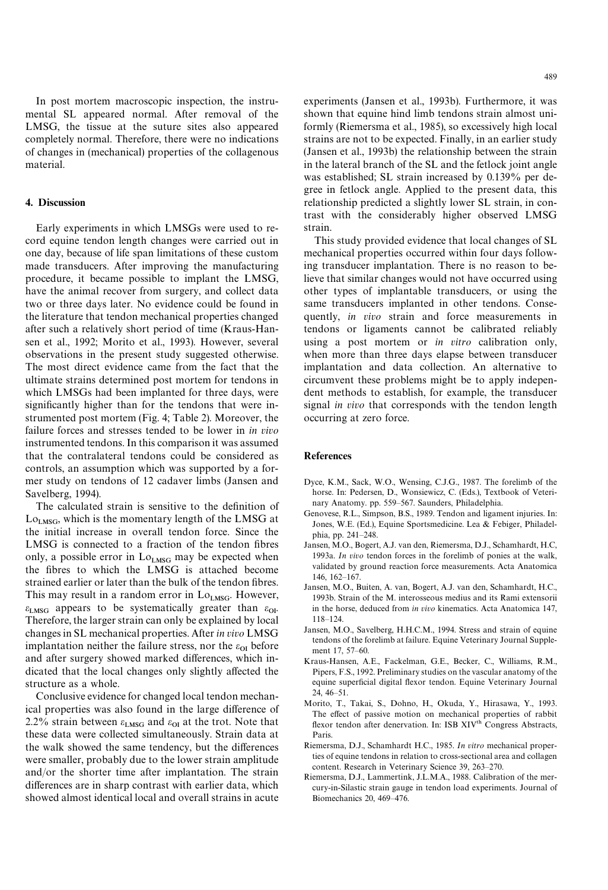In post mortem macroscopic inspection, the instrumental SL appeared normal. After removal of the LMSG, the tissue at the suture sites also appeared completely normal. Therefore, there were no indications of changes in (mechanical) properties of the collagenous material.

#### 4. Discussion

Early experiments in which LMSGs were used to record equine tendon length changes were carried out in one day, because of life span limitations of these custom made transducers. After improving the manufacturing procedure, it became possible to implant the LMSG, have the animal recover from surgery, and collect data two or three days later. No evidence could be found in the literature that tendon mechanical properties changed after such a relatively short period of time (Kraus-Hansen et al., 1992; Morito et al., 1993). However, several observations in the present study suggested otherwise. The most direct evidence came from the fact that the ultimate strains determined post mortem for tendons in which LMSGs had been implanted for three days, were significantly higher than for the tendons that were instrumented post mortem (Fig. 4; Table 2). Moreover, the failure forces and stresses tended to be lower in *in vivo* instrumented tendons. In this comparison it was assumed that the contralateral tendons could be considered as controls, an assumption which was supported by a former study on tendons of 12 cadaver limbs (Jansen and Savelberg, 1994).

The calculated strain is sensitive to the definition of  $Lo<sub>LMSG</sub>$ , which is the momentary length of the LMSG at the initial increase in overall tendon force. Since the LMSG is connected to a fraction of the tendon fibres only, a possible error in  $\rm Lo_{LMSG}$  may be expected when the fibres to which the LMSG is attached become strained earlier or later than the bulk of the tendon fibres. This may result in a random error in  $Lo<sub>LMSG</sub>$ . However,  $\varepsilon_{LMSG}$  appears to be systematically greater than  $\varepsilon_{OI}$ . Therefore, the larger strain can only be explained by local changesin SL mechanical properties. After *in vivo* LMSG implantation neither the failure stress, nor the  $\varepsilon_{01}$  before and after surgery showed marked differences, which indicated that the local changes only slightly affected the structure as a whole.

Conclusive evidence for changed local tendon mechanical properties was also found in the large difference of 2.2% strain between  $\varepsilon_{LMSG}$  and  $\varepsilon_{OI}$  at the trot. Note that these data were collected simultaneously. Strain data at the walk showed the same tendency, but the differences were smaller, probably due to the lower strain amplitude and/or the shorter time after implantation. The strain differences are in sharp contrast with earlier data, which showed almost identical local and overall strains in acute

experiments (Jansen et al., 1993b). Furthermore, it was shown that equine hind limb tendons strain almost uniformly (Riemersma et al., 1985), so excessively high local strains are not to be expected. Finally, in an earlier study (Jansen et al., 1993b) the relationship between the strain in the lateral branch of the SL and the fetlock joint angle was established; SL strain increased by 0.139% per degree in fetlock angle. Applied to the present data, this relationship predicted a slightly lower SL strain, in contrast with the considerably higher observed LMSG strain.

This study provided evidence that local changes of SL mechanical properties occurred within four days following transducer implantation. There is no reason to believe that similar changes would not have occurred using other types of implantable transducers, or using the same transducers implanted in other tendons. Consequently, *in vivo* strain and force measurements in tendons or ligaments cannot be calibrated reliably using a post mortem or *in vitro* calibration only, when more than three days elapse between transducer implantation and data collection. An alternative to circumvent these problems might be to apply independent methods to establish, for example, the transducer signal *in vivo* that corresponds with the tendon length occurring at zero force.

#### References

- Dyce, K.M., Sack, W.O., Wensing, C.J.G., 1987. The forelimb of the horse. In: Pedersen, D., Wonsiewicz, C. (Eds.), Textbook of Veterinary Anatomy. pp. 559*—*567. Saunders, Philadelphia.
- Genovese, R.L., Simpson, B.S., 1989. Tendon and ligament injuries. In: Jones, W.E. (Ed.), Equine Sportsmedicine. Lea & Febiger, Philadelphia, pp. 241*—*248.
- Jansen, M.O., Bogert, A.J. van den, Riemersma, D.J., Schamhardt, H.C, 1993a. *In vivo* tendon forces in the forelimb of ponies at the walk, validated by ground reaction force measurements. Acta Anatomica 146, 162*—*167.
- Jansen, M.O., Buiten, A. van, Bogert, A.J. van den, Schamhardt, H.C., 1993b. Strain of the M. interosseous medius and its Rami extensorii in the horse, deduced from *in vivo* kinematics. Acta Anatomica 147, 118*—*124.
- Jansen, M.O., Savelberg, H.H.C.M., 1994. Stress and strain of equine tendons of the forelimb at failure. Equine Veterinary Journal Supplement 17, 57*—*60.
- Kraus-Hansen, A.E., Fackelman, G.E., Becker, C., Williams, R.M., Pipers, F.S., 1992. Preliminary studies on the vascular anatomy of the equine superficial digital flexor tendon. Equine Veterinary Journal 24, 46*—*51.
- Morito, T., Takai, S., Dohno, H., Okuda, Y., Hirasawa, Y., 1993. The effect of passive motion on mechanical properties of rabbit flexor tendon after denervation. In: ISB XIV<sup>th</sup> Congress Abstracts, Paris.
- Riemersma, D.J., Schamhardt H.C., 1985. *In vitro* mechanical properties of equine tendons in relation to cross-sectional area and collagen content. Research in Veterinary Science 39, 263*—*270.
- Riemersma, D.J., Lammertink, J.L.M.A., 1988. Calibration of the mercury-in-Silastic strain gauge in tendon load experiments. Journal of Biomechanics 20, 469*—*476.